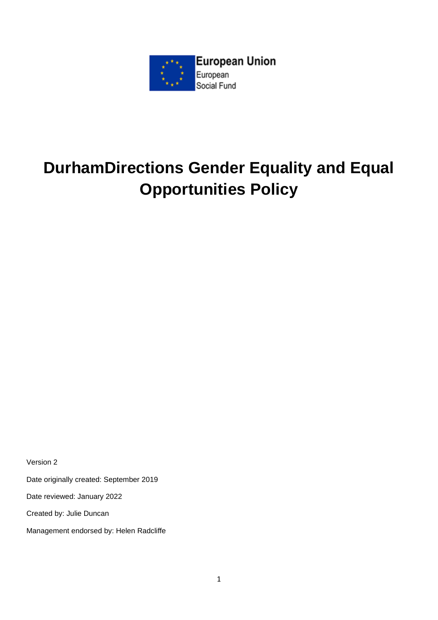

# **DurhamDirections Gender Equality and Equal Opportunities Policy**

Version 2

Date originally created: September 2019

Date reviewed: January 2022

Created by: Julie Duncan

Management endorsed by: Helen Radcliffe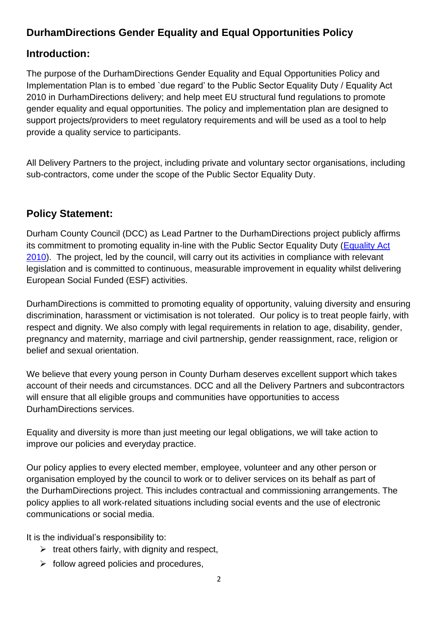#### **DurhamDirections Gender Equality and Equal Opportunities Policy**

#### **Introduction:**

The purpose of the DurhamDirections Gender Equality and Equal Opportunities Policy and Implementation Plan is to embed `due regard' to the Public Sector Equality Duty / Equality Act 2010 in DurhamDirections delivery; and help meet EU structural fund regulations to promote gender equality and equal opportunities. The policy and implementation plan are designed to support projects/providers to meet regulatory requirements and will be used as a tool to help provide a quality service to participants.

All Delivery Partners to the project, including private and voluntary sector organisations, including sub-contractors, come under the scope of the Public Sector Equality Duty.

#### **Policy Statement:**

Durham County Council (DCC) as Lead Partner to the DurhamDirections project publicly affirms its commitment to promoting equality in-line with the Public Sector Equality Duty [\(Equality Act](http://www.equalityhumanrights.com/legal-and-policy/legislation/equality-act-2010)  [2010\)](http://www.equalityhumanrights.com/legal-and-policy/legislation/equality-act-2010). The project, led by the council, will carry out its activities in compliance with relevant legislation and is committed to continuous, measurable improvement in equality whilst delivering European Social Funded (ESF) activities.

DurhamDirections is committed to promoting equality of opportunity, valuing diversity and ensuring discrimination, harassment or victimisation is not tolerated. Our policy is to treat people fairly, with respect and dignity. We also comply with legal requirements in relation to age, disability, gender, pregnancy and maternity, marriage and civil partnership, gender reassignment, race, religion or belief and sexual orientation.

We believe that every young person in County Durham deserves excellent support which takes account of their needs and circumstances. DCC and all the Delivery Partners and subcontractors will ensure that all eligible groups and communities have opportunities to access DurhamDirections services.

Equality and diversity is more than just meeting our legal obligations, we will take action to improve our policies and everyday practice.

Our policy applies to every elected member, employee, volunteer and any other person or organisation employed by the council to work or to deliver services on its behalf as part of the DurhamDirections project. This includes contractual and commissioning arrangements. The policy applies to all work-related situations including social events and the use of electronic communications or social media.

It is the individual's responsibility to:

- $\triangleright$  treat others fairly, with dignity and respect,
- $\triangleright$  follow agreed policies and procedures,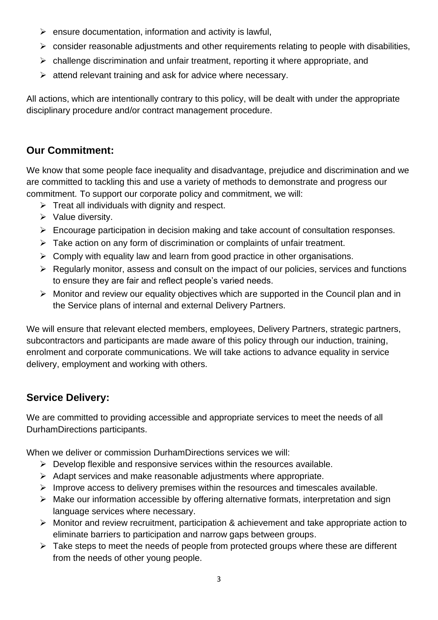- $\triangleright$  ensure documentation, information and activity is lawful,
- $\triangleright$  consider reasonable adjustments and other requirements relating to people with disabilities,
- ➢ challenge discrimination and unfair treatment, reporting it where appropriate, and
- ➢ attend relevant training and ask for advice where necessary.

All actions, which are intentionally contrary to this policy, will be dealt with under the appropriate disciplinary procedure and/or contract management procedure.

#### **Our Commitment:**

We know that some people face inequality and disadvantage, prejudice and discrimination and we are committed to tackling this and use a variety of methods to demonstrate and progress our commitment. To support our corporate policy and commitment, we will:

- $\triangleright$  Treat all individuals with dignity and respect.
- ➢ Value diversity.
- ➢ Encourage participation in decision making and take account of consultation responses.
- ➢ Take action on any form of discrimination or complaints of unfair treatment.
- $\triangleright$  Comply with equality law and learn from good practice in other organisations.
- ➢ Regularly monitor, assess and consult on the impact of our policies, services and functions to ensure they are fair and reflect people's varied needs.
- ➢ Monitor and review our equality objectives which are supported in the Council plan and in the Service plans of internal and external Delivery Partners.

We will ensure that relevant elected members, employees, Delivery Partners, strategic partners, subcontractors and participants are made aware of this policy through our induction, training, enrolment and corporate communications. We will take actions to advance equality in service delivery, employment and working with others.

### **Service Delivery:**

We are committed to providing accessible and appropriate services to meet the needs of all DurhamDirections participants.

When we deliver or commission DurhamDirections services we will:

- $\triangleright$  Develop flexible and responsive services within the resources available.
- ➢ Adapt services and make reasonable adjustments where appropriate.
- ➢ Improve access to delivery premises within the resources and timescales available.
- ➢ Make our information accessible by offering alternative formats, interpretation and sign language services where necessary.
- ➢ Monitor and review recruitment, participation & achievement and take appropriate action to eliminate barriers to participation and narrow gaps between groups.
- ➢ Take steps to meet the needs of people from protected groups where these are different from the needs of other young people.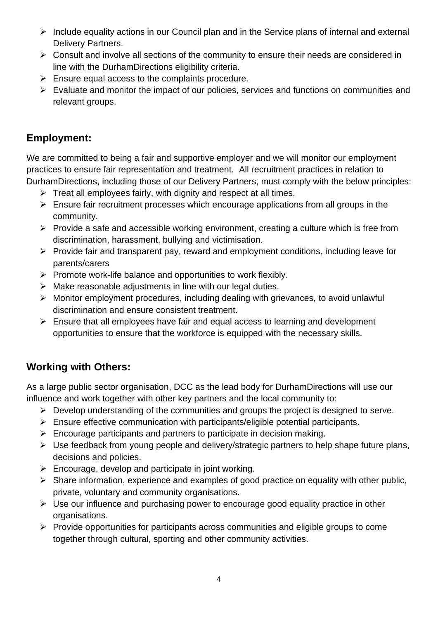- ➢ Include equality actions in our Council plan and in the Service plans of internal and external Delivery Partners.
- ➢ Consult and involve all sections of the community to ensure their needs are considered in line with the DurhamDirections eligibility criteria.
- $\triangleright$  Ensure equal access to the complaints procedure.
- ➢ Evaluate and monitor the impact of our policies, services and functions on communities and relevant groups.

#### **Employment:**

We are committed to being a fair and supportive employer and we will monitor our employment practices to ensure fair representation and treatment. All recruitment practices in relation to DurhamDirections, including those of our Delivery Partners, must comply with the below principles:

- $\triangleright$  Treat all employees fairly, with dignity and respect at all times.
- $\triangleright$  Ensure fair recruitment processes which encourage applications from all groups in the community.
- ➢ Provide a safe and accessible working environment, creating a culture which is free from discrimination, harassment, bullying and victimisation.
- ➢ Provide fair and transparent pay, reward and employment conditions, including leave for parents/carers
- ➢ Promote work-life balance and opportunities to work flexibly.
- $\triangleright$  Make reasonable adjustments in line with our legal duties.
- ➢ Monitor employment procedures, including dealing with grievances, to avoid unlawful discrimination and ensure consistent treatment.
- ➢ Ensure that all employees have fair and equal access to learning and development opportunities to ensure that the workforce is equipped with the necessary skills.

### **Working with Others:**

As a large public sector organisation, DCC as the lead body for DurhamDirections will use our influence and work together with other key partners and the local community to:

- ➢ Develop understanding of the communities and groups the project is designed to serve.
- ➢ Ensure effective communication with participants/eligible potential participants.
- $\triangleright$  Encourage participants and partners to participate in decision making.
- ➢ Use feedback from young people and delivery/strategic partners to help shape future plans, decisions and policies.
- $\triangleright$  Encourage, develop and participate in joint working.
- ➢ Share information, experience and examples of good practice on equality with other public, private, voluntary and community organisations.
- ➢ Use our influence and purchasing power to encourage good equality practice in other organisations.
- ➢ Provide opportunities for participants across communities and eligible groups to come together through cultural, sporting and other community activities.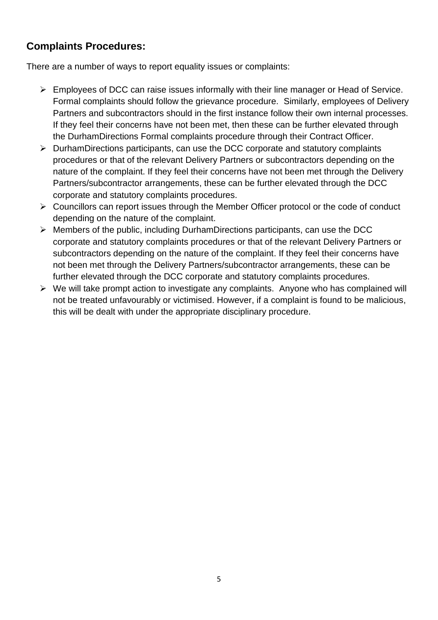#### **Complaints Procedures:**

There are a number of ways to report equality issues or complaints:

- ➢ Employees of DCC can raise issues informally with their line manager or Head of Service. Formal complaints should follow the grievance procedure. Similarly, employees of Delivery Partners and subcontractors should in the first instance follow their own internal processes. If they feel their concerns have not been met, then these can be further elevated through the DurhamDirections Formal complaints procedure through their Contract Officer.
- ➢ DurhamDirections participants, can use the DCC corporate and statutory complaints procedures or that of the relevant Delivery Partners or subcontractors depending on the nature of the complaint. If they feel their concerns have not been met through the Delivery Partners/subcontractor arrangements, these can be further elevated through the DCC corporate and statutory complaints procedures.
- ➢ Councillors can report issues through the Member Officer protocol or the code of conduct depending on the nature of the complaint.
- ➢ Members of the public, including DurhamDirections participants, can use the DCC corporate and statutory complaints procedures or that of the relevant Delivery Partners or subcontractors depending on the nature of the complaint. If they feel their concerns have not been met through the Delivery Partners/subcontractor arrangements, these can be further elevated through the DCC corporate and statutory complaints procedures.
- ➢ We will take prompt action to investigate any complaints. Anyone who has complained will not be treated unfavourably or victimised. However, if a complaint is found to be malicious, this will be dealt with under the appropriate disciplinary procedure.